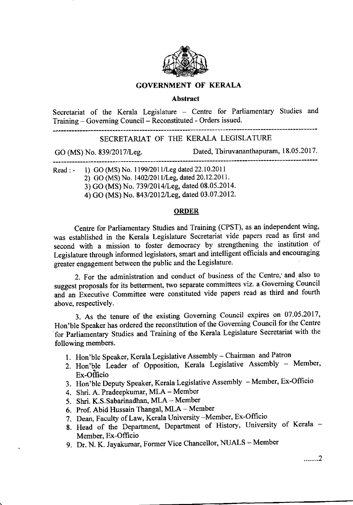

## GOVERNMENT OF KERALA

## Abstract

Secretariat of the Kerala Legislature - Centre for Parliamentary Studies and Training - Governing Council - Reconstituted - Orders issued.

## SECRETARIAT OF THE KERALA LEGISLATURE

cO (MS) No. 839/2017ll-eg. Dated, Thiruvananthapuram, 18.05.2017.

Read : - 1) GO (MS) No. 1199/2011/Leg dated 22.10.2011

2) GO (MS) No. 1402/2011/Leg, dated 20.12.2011.

3) GO (MS) No. 739/2014/Leg, dated 08.05.2014.

4) GO (MS) No. 843/2012lleg, dated 03.07.2012.

## **ORDER**

centre for Parliamentary Studies and Training (CPST), as an independent wing, was established in the Kerala Legislature secretariat vide papers read as first and second with a mission to foster democracy by strengthening the institution of Legislature through informed legislators, smart and intelligent officials and encouraging greater engagement between the public and the Legislature.

2. For the administration and conduct of business of the centre,' and\_ also to suggest proposals for its betterment, two separate committees viz. a Goveming council and an Executive Committee were constituted vide papers read as third and fourth above, respectively.

3. As the tenure of the existing Governing Council expires on 07.05.2017, Hon'ble Speaker has ordered the reconstitution of the Governing Council for the Centre 'for Parliamentary studies and Training of the Kerala Legislature Secretariat with the following members.

- 1. Hon'ble Speaker, Kerala Legislative Assembly Chairman and Patron
- 2. Hon'ble Leader of Opposition, Kerala Legislative Assembly Member, Ex-Officio
- 3. Hon'ble Deputy Speaker, Kerala Legislative Assembly Member, Ex-Officio
- 4. Shri. A. Pradeepkumar, MLA Member
- 5. Shri. K.S.Sabarinadhan, MLA Member
- 6. Prof. Abid Hussain Thangal, MLA Member
- 7. Dean, Faculty of Law, Kerala University Member, Ex-Officio
- 8. Head of the Department, Department of History, University of Kerala -Member, Ex-Officio
- 9. Dr. N. K. Jayakumar, Former Vice Chancellor, NUALS Member

,....'..2